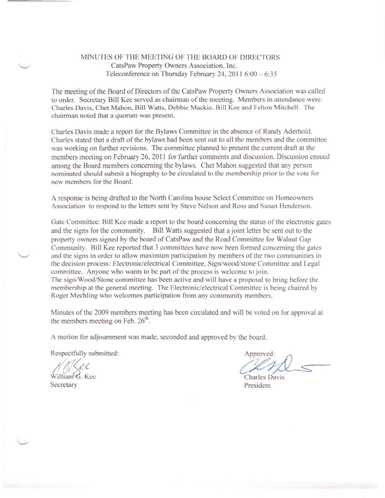## MINUTES OF THE MEETING OF THE BOARD OF DIRECTORS CatsPaw Property Owners Association, lnc. Teleconference on Thursday February 24, 2011 6:00 - 6:35

The meeting of the Board of Directors of the CatsPaw Property Owners Association was called to order. Secretary Bill Kee served as chairman of the meeting. Members in attendance were: Charles Davis, Chet Mahon, Bill Watts, Debbie Mackie. Bill Kee and Felton Mitchell. The chairman noted that a quorum was present,

Charles Davis made a report tor the Bylaws Committee in the absence of Randy Aderhold. Charles stated that a draft of the bylaws had been sent out to all the members and the committee was working on further revisions. The committee planned to present the current draft at the members meeting on February 26,2011 for further comments and discussion. Discussion ensued among the Board members concerning the bylaws. Chet Mahon suggested that any person nominated should submit a biography to be circulated to the membership prior to the vote for new members for the Board.

A response is being drafted to the North Carolina house Select Committee on Homeowners Association to respond to the letters sent by Steve Nelson and Ross and Susan Henderson.

Gate Committee: Bill Kee made a report to the board concerning the status of the electronic gates and the signs for the community. Bill Watts suggested that ajoint letter be sent out to the property owners signed by the board of CatsPaw and the Road Committee for Walnut Gap Community. Bill Kee reported that 3 committees have now been formed concerning the gates and the signs in order to allow maximum participation by members of the two communities in the decision process: Electronic/electrical Committee, Sign/wood/stone Committee and Legal committee. Anyone who wants to be part of the process is welcome to join. The sign/Wood/Stone committee has been active and will have a proposal to bring before the membership at the general meeting. The Electronic/electrical Committee is being chaired by Roger Mechling who welcomes participation from any community members.

Minutes of the 2009 members meeting has been circulated and will be voted on for approval at the members meeting on Feb.  $26<sup>th</sup>$ 

A motion for adjournment was made, seconded and approved by the board.

Respectfully submitted:

William G. Kee **Secretary** 

Approved:

Charles Davis President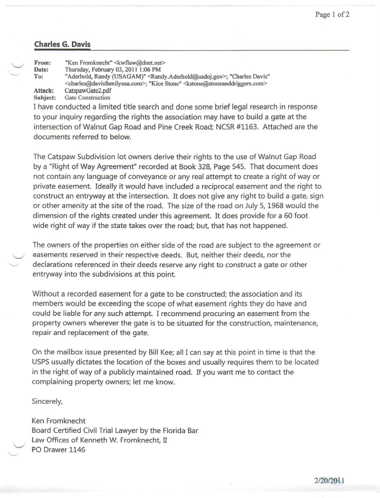## **Charles G. Davis**

--- ---- -------

| $\overline{\phantom{a}}$<br>$\smile$ | From:                                                                      | "Ken Fromknecht" < kwflaw@dnet.net>                                                                                                                                                                                                       |
|--------------------------------------|----------------------------------------------------------------------------|-------------------------------------------------------------------------------------------------------------------------------------------------------------------------------------------------------------------------------------------|
|                                      | Date:                                                                      | Thursday, February 03, 2011 1:06 PM                                                                                                                                                                                                       |
|                                      | To:                                                                        | "Aderhold, Randy (USAGAM)" <randy.aderhold@usdoj.gov>; "Charles Davis"<br/><charles@davisfamilyusa.com>; "Kice Stone" <kstone@stoneanddriggers.com></kstone@stoneanddriggers.com></charles@davisfamilyusa.com></randy.aderhold@usdoj.gov> |
|                                      | Attach:                                                                    | CatspawGate2.pdf                                                                                                                                                                                                                          |
|                                      | Subject:                                                                   | <b>Gate Construction</b>                                                                                                                                                                                                                  |
|                                      | I have conducted a limited title search and done some brief legal research |                                                                                                                                                                                                                                           |

I search and done some brief legal research in response to your inquiry regarding the rights the association may have to build a gate at the intersection of Walnut Gap Road and Pine Creek Road; NCSR #1163. Attached are the documents referred to below.

The Catspaw Subdivision lot owners derive their rights to the use of Walnut Gap Road by a "Right of Way Agreement" recorded at Book 328, Page 545. That document does not contain any language of conveyance or any real attempt to create a right of way or private easement. Ideally it would have included a reciprocal easement and the right to construct an entryway at the intersection. It does not give any right to build a gate, sign or other amenity at the site of the road. The size of the road on July 5, 1968 would the dimension of the rights created under this agreement. It does provide for a 60 foot wide right of way if the state takes over the road; but, that has not happened.

The owners of the properties on either side of the road are subject to the agreement or easements reserved in their respective deeds. But, neither their deeds, nor the declarations referenced in their deeds reserve any right to construct a gate or other entryway into the subdivisions at this point.

Without a recorded easement for a gate to be constructed; the association and its members would be exceeding the scope of what easement rights they do have and could be liable for any such attempt. I recommend procuring an easement from the property owners wherever the gate is to be situated for the construction, maintenance, repair and replacement of the gate.

On the mailbox issue presented by Bill Kee; all I can say at this point in time is that the USPS usually dictates the location of the boxes and usually requires them to be located in the right of way of a publicly maintained road. If you want me to contact the complaining property owners; let me know.

Sincerely,

Ken Fromknecht Board Certified Civil Trial Lawyer by the Florida Bar Law Offices of Kenneth W. Fromknecht, II PO Drawer 1146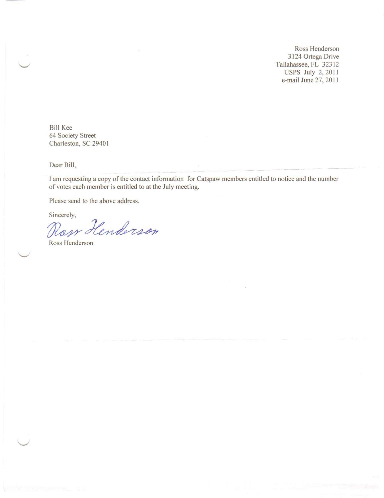Ross Henderson 3124 Ortega Drive Tallahassee, FL 32312 USPS July 2, 2011 e-mail June 27, 2011

Bill Kee 64 Society Street Charleston, SC 29401

Dear Bill,

1am requesting a copy of the contact information for Catspaw members entitled to notice and the number of votes each member is entitled to at the July meeting.

Please send to the above address.

Sincerely,

Ross Henderson

Ross Henderson